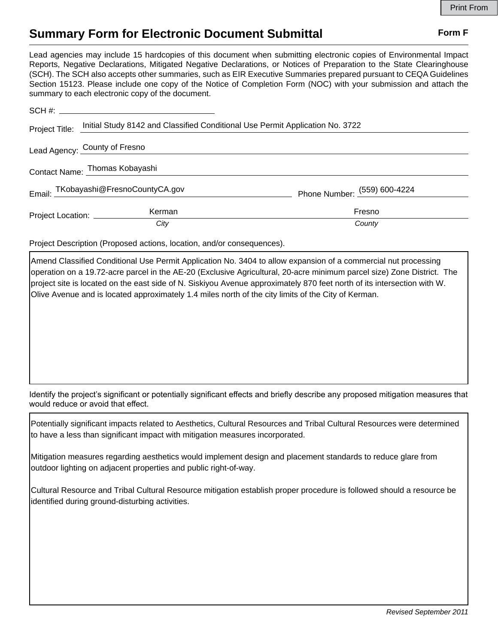## **Summary Form for Electronic Document Submittal Form F Form F**

Lead agencies may include 15 hardcopies of this document when submitting electronic copies of Environmental Impact Reports, Negative Declarations, Mitigated Negative Declarations, or Notices of Preparation to the State Clearinghouse (SCH). The SCH also accepts other summaries, such as EIR Executive Summaries prepared pursuant to CEQA Guidelines Section 15123. Please include one copy of the Notice of Completion Form (NOC) with your submission and attach the summary to each electronic copy of the document.

| Project Title:                 | Initial Study 8142 and Classified Conditional Use Permit Application No. 3722 |                                |
|--------------------------------|-------------------------------------------------------------------------------|--------------------------------|
| Lead Agency: County of Fresno  |                                                                               |                                |
| Contact Name: Thomas Kobayashi |                                                                               |                                |
|                                | Email: TKobayashi@FresnoCountyCA.gov                                          | Phone Number: $(559)$ 600-4224 |
| Project Location: _________    | Kerman                                                                        | Fresno                         |
|                                | City                                                                          | County                         |

Project Description (Proposed actions, location, and/or consequences).

Amend Classified Conditional Use Permit Application No. 3404 to allow expansion of a commercial nut processing operation on a 19.72-acre parcel in the AE-20 (Exclusive Agricultural, 20-acre minimum parcel size) Zone District. The project site is located on the east side of N. Siskiyou Avenue approximately 870 feet north of its intersection with W. Olive Avenue and is located approximately 1.4 miles north of the city limits of the City of Kerman.

Identify the project's significant or potentially significant effects and briefly describe any proposed mitigation measures that would reduce or avoid that effect.

Potentially significant impacts related to Aesthetics, Cultural Resources and Tribal Cultural Resources were determined to have a less than significant impact with mitigation measures incorporated.

Mitigation measures regarding aesthetics would implement design and placement standards to reduce glare from outdoor lighting on adjacent properties and public right-of-way.

Cultural Resource and Tribal Cultural Resource mitigation establish proper procedure is followed should a resource be identified during ground-disturbing activities.